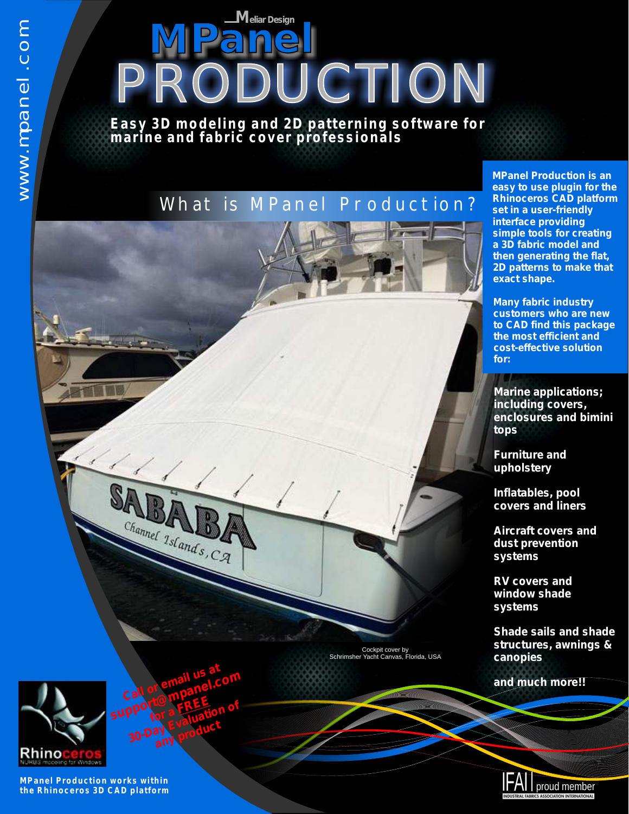**MPanel** *<sup>M</sup>eliar Design PRODUCTION*

**Easy 3D modeling and 2D patterning software for marine and fabric cover professionals**

## What is MPanel Production?

Cockpit cover by Schrimsher Yacht Canvas, Florida, USA



**MPanel Production is an easy to use plugin for the Rhinoceros CAD platform set in a user-friendly interface providing simple tools for creating a 3D fabric model and then generating the flat, 2D patterns to make that exact shape.** 

**Many fabric industry customers who are new to CAD find this package the most efficient and cost-effective solution for:**

*Marine applications; including covers, enclosures and bimini tops* 

*Furniture and upholstery*

*Inflatables, pool covers and liners*

*Aircraft covers and dust prevention systems*

*RV covers and window shade systems*

*Shade sails and shade structures, awnings & canopies*

*and much more!!*



**MPanel Production works within the Rhinoceros 3D CAD platform**

**Call or email us at** 

**for a FREE** pporte a FREE fion of<br>30-Day Evaluation of any product